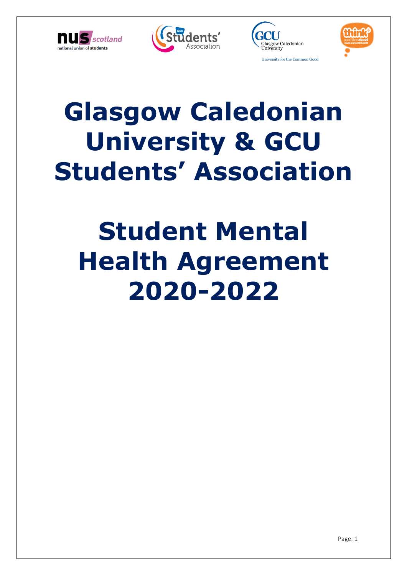







# **Glasgow Caledonian University & GCU Students' Association**

# **Student Mental Health Agreement 2020-2022**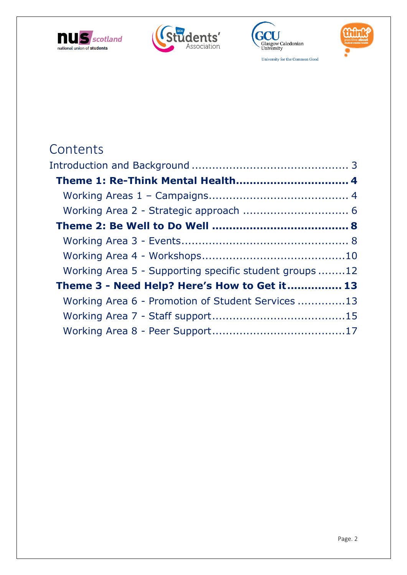







**Contents** 

| Working Area 5 - Supporting specific student groups 12 |  |
|--------------------------------------------------------|--|
| Theme 3 - Need Help? Here's How to Get it 13           |  |
| Working Area 6 - Promotion of Student Services 13      |  |
|                                                        |  |
|                                                        |  |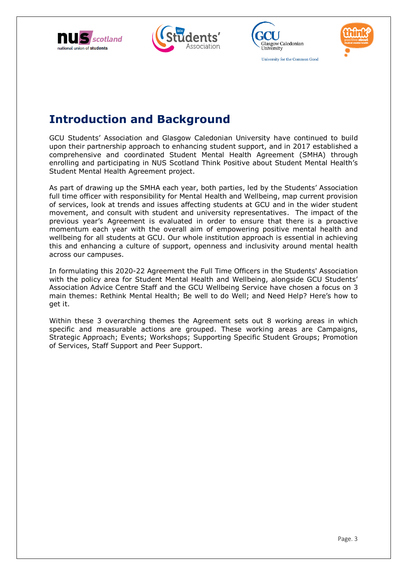







# <span id="page-2-0"></span>**Introduction and Background**

GCU Students' Association and Glasgow Caledonian University have continued to build upon their partnership approach to enhancing student support, and in 2017 established a comprehensive and coordinated Student Mental Health Agreement (SMHA) through enrolling and participating in NUS Scotland Think Positive about Student Mental Health's Student Mental Health Agreement project.

As part of drawing up the SMHA each year, both parties, led by the Students' Association full time officer with responsibility for Mental Health and Wellbeing, map current provision of services, look at trends and issues affecting students at GCU and in the wider student movement, and consult with student and university representatives. The impact of the previous year's Agreement is evaluated in order to ensure that there is a proactive momentum each year with the overall aim of empowering positive mental health and wellbeing for all students at GCU. Our whole institution approach is essential in achieving this and enhancing a culture of support, openness and inclusivity around mental health across our campuses.

In formulating this 2020-22 Agreement the Full Time Officers in the Students' Association with the policy area for Student Mental Health and Wellbeing, alongside GCU Students' Association Advice Centre Staff and the GCU Wellbeing Service have chosen a focus on 3 main themes: Rethink Mental Health; Be well to do Well; and Need Help? Here's how to get it.

Within these 3 overarching themes the Agreement sets out 8 working areas in which specific and measurable actions are grouped. These working areas are Campaigns, Strategic Approach; Events; Workshops; Supporting Specific Student Groups; Promotion of Services, Staff Support and Peer Support.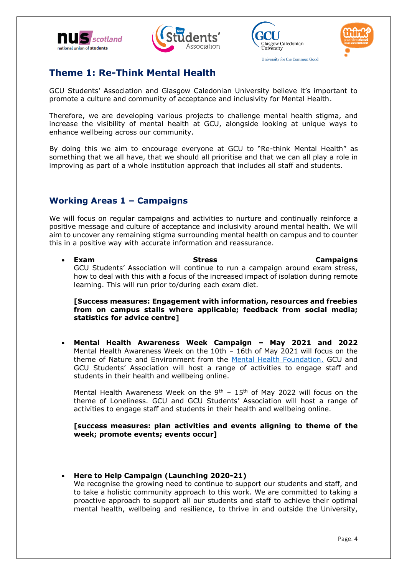







# <span id="page-3-0"></span>**Theme 1: Re-Think Mental Health**

GCU Students' Association and Glasgow Caledonian University believe it's important to promote a culture and community of acceptance and inclusivity for Mental Health.

Therefore, we are developing various projects to challenge mental health stigma, and increase the visibility of mental health at GCU, alongside looking at unique ways to enhance wellbeing across our community.

By doing this we aim to encourage everyone at GCU to "Re-think Mental Health" as something that we all have, that we should all prioritise and that we can all play a role in improving as part of a whole institution approach that includes all staff and students.

#### <span id="page-3-1"></span>**Working Areas 1 – Campaigns**

We will focus on regular campaigns and activities to nurture and continually reinforce a positive message and culture of acceptance and inclusivity around mental health. We will aim to uncover any remaining stigma surrounding mental health on campus and to counter this in a positive way with accurate information and reassurance.

**Exam Stress Campaigns** GCU Students' Association will continue to run a campaign around exam stress, how to deal with this with a focus of the increased impact of isolation during remote learning. This will run prior to/during each exam diet.

**[Success measures: Engagement with information, resources and freebies from on campus stalls where applicable; feedback from social media; statistics for advice centre]**

 **Mental Health Awareness Week Campaign – May 2021 and 2022**  Mental Health Awareness Week on the 10th – 16th of May 2021 will focus on the theme of Nature and Environment from the [Mental Health Foundation.](http://https/www.mentalhealth.org.uk/campaigns/mental-health-awareness-week) GCU and GCU Students' Association will host a range of activities to engage staff and students in their health and wellbeing online.

Mental Health Awareness Week on the  $9^{th}$  – 15<sup>th</sup> of May 2022 will focus on the theme of Loneliness. GCU and GCU Students' Association will host a range of activities to engage staff and students in their health and wellbeing online.

#### **[success measures: plan activities and events aligning to theme of the week; promote events; events occur]**

**Here to Help Campaign (Launching 2020-21)** 

We recognise the growing need to continue to support our students and staff, and to take a holistic community approach to this work. We are committed to taking a proactive approach to support all our students and staff to achieve their optimal mental health, wellbeing and resilience, to thrive in and outside the University,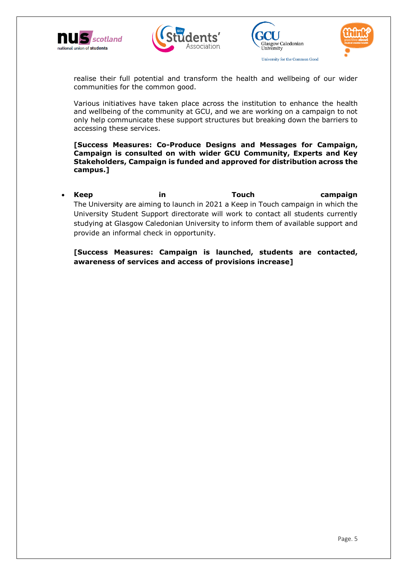







realise their full potential and transform the health and wellbeing of our wider communities for the common good.

Various initiatives have taken place across the institution to enhance the health and wellbeing of the community at GCU, and we are working on a campaign to not only help communicate these support structures but breaking down the barriers to accessing these services.

**[Success Measures: Co-Produce Designs and Messages for Campaign, Campaign is consulted on with wider GCU Community, Experts and Key Stakeholders, Campaign is funded and approved for distribution across the campus.]** 

 **Keep in Touch campaign**  The University are aiming to launch in 2021 a Keep in Touch campaign in which the University Student Support directorate will work to contact all students currently studying at Glasgow Caledonian University to inform them of available support and provide an informal check in opportunity.

<span id="page-4-0"></span>**[Success Measures: Campaign is launched, students are contacted, awareness of services and access of provisions increase]**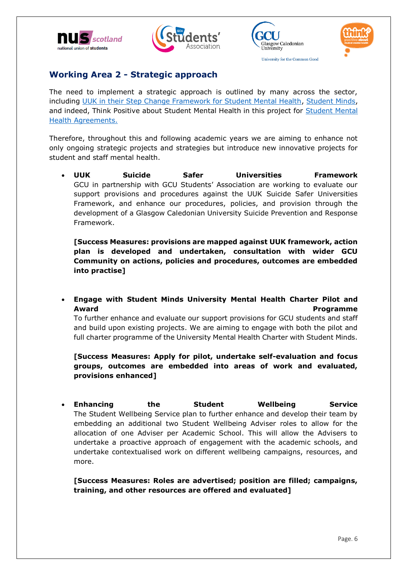







### **Working Area 2 - Strategic approach**

The need to implement a strategic approach is outlined by many across the sector, including [UUK in their Step Change Framework for Student Mental Health,](https://www.universitiesuk.ac.uk/policy-and-analysis/stepchange/Pages/default.aspx) [Student Minds,](https://www.studentminds.org.uk/charter.html) and indeed, Think Positive about Student Mental Health in this project for [Student Mental](https://www.thinkpositive.scot/projects/smha/)  [Health Agreements.](https://www.thinkpositive.scot/projects/smha/)

Therefore, throughout this and following academic years we are aiming to enhance not only ongoing strategic projects and strategies but introduce new innovative projects for student and staff mental health.

 **UUK Suicide Safer Universities Framework**  GCU in partnership with GCU Students' Association are working to evaluate our support provisions and procedures against the UUK Suicide Safer Universities Framework, and enhance our procedures, policies, and provision through the development of a Glasgow Caledonian University Suicide Prevention and Response Framework.

**[Success Measures: provisions are mapped against UUK framework, action plan is developed and undertaken, consultation with wider GCU Community on actions, policies and procedures, outcomes are embedded into practise]**

 **Engage with Student Minds University Mental Health Charter Pilot and Award Programme Programme** 

To further enhance and evaluate our support provisions for GCU students and staff and build upon existing projects. We are aiming to engage with both the pilot and full charter programme of the University Mental Health Charter with Student Minds.

#### **[Success Measures: Apply for pilot, undertake self-evaluation and focus groups, outcomes are embedded into areas of work and evaluated, provisions enhanced]**

 **Enhancing the Student Wellbeing Service** The Student Wellbeing Service plan to further enhance and develop their team by embedding an additional two Student Wellbeing Adviser roles to allow for the allocation of one Adviser per Academic School. This will allow the Advisers to undertake a proactive approach of engagement with the academic schools, and undertake contextualised work on different wellbeing campaigns, resources, and more.

**[Success Measures: Roles are advertised; position are filled; campaigns, training, and other resources are offered and evaluated]**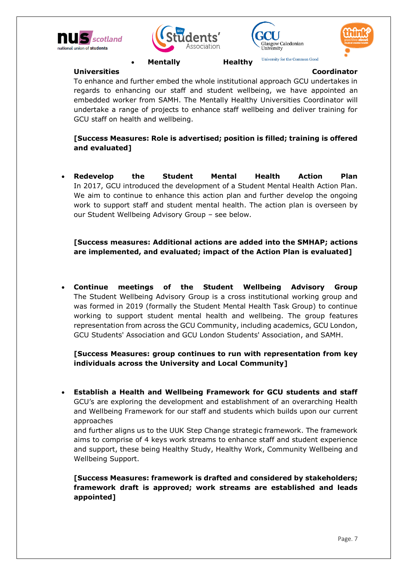







University for the Common Good

**Universities Coordinator** 

To enhance and further embed the whole institutional approach GCU undertakes in regards to enhancing our staff and student wellbeing, we have appointed an embedded worker from SAMH. The Mentally Healthy Universities Coordinator will undertake a range of projects to enhance staff wellbeing and deliver training for GCU staff on health and wellbeing.

**[Success Measures: Role is advertised; position is filled; training is offered and evaluated]**

 **Redevelop the Student Mental Health Action Plan** In 2017, GCU introduced the development of a Student Mental Health Action Plan. We aim to continue to enhance this action plan and further develop the ongoing work to support staff and student mental health. The action plan is overseen by our Student Wellbeing Advisory Group – see below.

**[Success measures: Additional actions are added into the SMHAP; actions are implemented, and evaluated; impact of the Action Plan is evaluated]**

 **Continue meetings of the Student Wellbeing Advisory Group** The Student Wellbeing Advisory Group is a cross institutional working group and was formed in 2019 (formally the Student Mental Health Task Group) to continue working to support student mental health and wellbeing. The group features representation from across the GCU Community, including academics, GCU London, GCU Students' Association and GCU London Students' Association, and SAMH.

**[Success Measures: group continues to run with representation from key individuals across the University and Local Community]**

 **Establish a Health and Wellbeing Framework for GCU students and staff**  GCU's are exploring the development and establishment of an overarching Health and Wellbeing Framework for our staff and students which builds upon our current approaches

and further aligns us to the UUK Step Change strategic framework. The framework aims to comprise of 4 keys work streams to enhance staff and student experience and support, these being Healthy Study, Healthy Work, Community Wellbeing and Wellbeing Support.

<span id="page-6-0"></span>**[Success Measures: framework is drafted and considered by stakeholders; framework draft is approved; work streams are established and leads appointed]**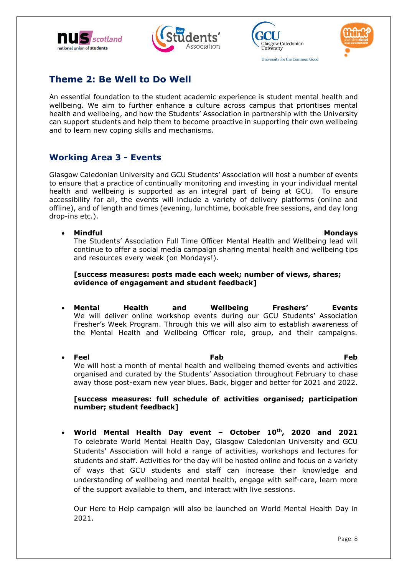







# **Theme 2: Be Well to Do Well**

An essential foundation to the student academic experience is student mental health and wellbeing. We aim to further enhance a culture across campus that prioritises mental health and wellbeing, and how the Students' Association in partnership with the University can support students and help them to become proactive in supporting their own wellbeing and to learn new coping skills and mechanisms.

### <span id="page-7-0"></span>**Working Area 3 - Events**

Glasgow Caledonian University and GCU Students' Association will host a number of events to ensure that a practice of continually monitoring and investing in your individual mental health and wellbeing is supported as an integral part of being at GCU. To ensure accessibility for all, the events will include a variety of delivery platforms (online and offline), and of length and times (evening, lunchtime, bookable free sessions, and day long drop-ins etc.).

#### **Mindful Mondays**

The Students' Association Full Time Officer Mental Health and Wellbeing lead will continue to offer a social media campaign sharing mental health and wellbeing tips and resources every week (on Mondays!).

#### **[success measures: posts made each week; number of views, shares; evidence of engagement and student feedback]**

- **Mental Health and Wellbeing Freshers' Events**  We will deliver online workshop events during our GCU Students' Association Fresher's Week Program. Through this we will also aim to establish awareness of the Mental Health and Wellbeing Officer role, group, and their campaigns.
- **Feel Fab Feb** We will host a month of mental health and wellbeing themed events and activities organised and curated by the Students' Association throughout February to chase away those post-exam new year blues. Back, bigger and better for 2021 and 2022.

#### **[success measures: full schedule of activities organised; participation number; student feedback]**

 **World Mental Health Day event – October 10th, 2020 and 2021** To celebrate World Mental Health Day, Glasgow Caledonian University and GCU Students' Association will hold a range of activities, workshops and lectures for students and staff. Activities for the day will be hosted online and focus on a variety of ways that GCU students and staff can increase their knowledge and understanding of wellbeing and mental health, engage with self-care, learn more of the support available to them, and interact with live sessions.

Our Here to Help campaign will also be launched on World Mental Health Day in 2021.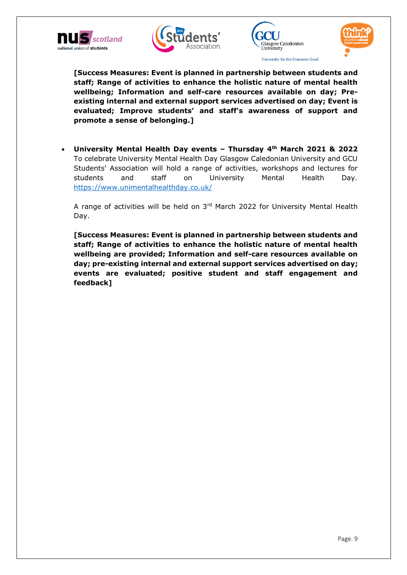







**[Success Measures: Event is planned in partnership between students and staff; Range of activities to enhance the holistic nature of mental health wellbeing; Information and self-care resources available on day; Preexisting internal and external support services advertised on day; Event is evaluated; Improve students' and staff's awareness of support and promote a sense of belonging.]**

 **University Mental Health Day events – Thursday 4th March 2021 & 2022** To celebrate University Mental Health Day Glasgow Caledonian University and GCU Students' Association will hold a range of activities, workshops and lectures for students and staff on University Mental Health Day. <https://www.unimentalhealthday.co.uk/>

A range of activities will be held on 3rd March 2022 for University Mental Health Day.

<span id="page-8-0"></span>**[Success Measures: Event is planned in partnership between students and staff; Range of activities to enhance the holistic nature of mental health wellbeing are provided; Information and self-care resources available on day; pre-existing internal and external support services advertised on day; events are evaluated; positive student and staff engagement and feedback]**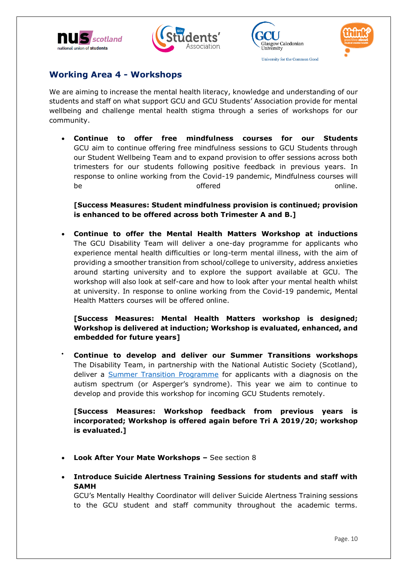







#### **Working Area 4 - Workshops**

We are aiming to increase the mental health literacy, knowledge and understanding of our students and staff on what support GCU and GCU Students' Association provide for mental wellbeing and challenge mental health stigma through a series of workshops for our community.

 **Continue to offer free mindfulness courses for our Students**  GCU aim to continue offering free mindfulness sessions to GCU Students through our Student Wellbeing Team and to expand provision to offer sessions across both trimesters for our students following positive feedback in previous years. In response to online working from the Covid-19 pandemic, Mindfulness courses will be the contraction of the offered the contraction online.

**[Success Measures: Student mindfulness provision is continued; provision is enhanced to be offered across both Trimester A and B.]**

 **Continue to offer the Mental Health Matters Workshop at inductions** The GCU Disability Team will deliver a one-day programme for applicants who experience mental health difficulties or long-term mental illness, with the aim of providing a smoother transition from school/college to university, address anxieties around starting university and to explore the support available at GCU. The workshop will also look at self-care and how to look after your mental health whilst at university. In response to online working from the Covid-19 pandemic, Mental Health Matters courses will be offered online.

**[Success Measures: Mental Health Matters workshop is designed; Workshop is delivered at induction; Workshop is evaluated, enhanced, and embedded for future years]**

 **Continue to develop and deliver our Summer Transitions workshops** The Disability Team, in partnership with the National Autistic Society (Scotland), deliver a **Summer Transition Programme** for applicants with a diagnosis on the autism spectrum (or Asperger's syndrome). This year we aim to continue to develop and provide this workshop for incoming GCU Students remotely.

**[Success Measures: Workshop feedback from previous years is incorporated; Workshop is offered again before Tri A 2019/20; workshop is evaluated.]**

- **Look After Your Mate Workshops –** See section 8
- **Introduce Suicide Alertness Training Sessions for students and staff with SAMH**

GCU's Mentally Healthy Coordinator will deliver Suicide Alertness Training sessions to the GCU student and staff community throughout the academic terms.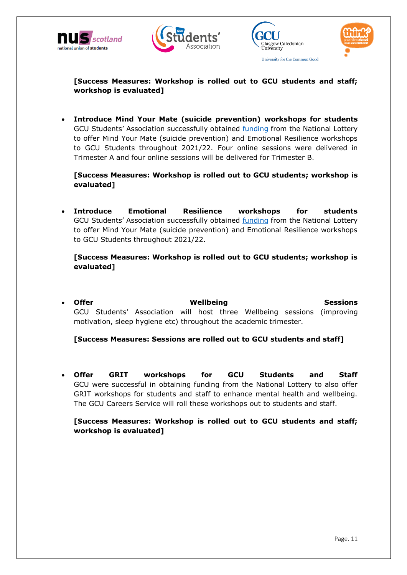







**[Success Measures: Workshop is rolled out to GCU students and staff; workshop is evaluated]**

 **Introduce Mind Your Mate (suicide prevention) workshops for students** GCU Students' Association successfully obtained [funding](https://www.gcustudents.co.uk/articles/gcu-students-association-secures-national-lottery-funding-to-support) from the National Lottery to offer Mind Your Mate (suicide prevention) and Emotional Resilience workshops to GCU Students throughout 2021/22. Four online sessions were delivered in Trimester A and four online sessions will be delivered for Trimester B.

**[Success Measures: Workshop is rolled out to GCU students; workshop is evaluated]**

 **Introduce Emotional Resilience workshops for students** GCU Students' Association successfully obtained [funding](https://www.gcustudents.co.uk/articles/gcu-students-association-secures-national-lottery-funding-to-support) from the National Lottery to offer Mind Your Mate (suicide prevention) and Emotional Resilience workshops to GCU Students throughout 2021/22.

**[Success Measures: Workshop is rolled out to GCU students; workshop is evaluated]**

**Offer Sessions Mellbeing Sessions Sessions** GCU Students' Association will host three Wellbeing sessions (improving motivation, sleep hygiene etc) throughout the academic trimester.

**[Success Measures: Sessions are rolled out to GCU students and staff]**

 **Offer GRIT workshops for GCU Students and Staff**  GCU were successful in obtaining funding from the National Lottery to also offer GRIT workshops for students and staff to enhance mental health and wellbeing. The GCU Careers Service will roll these workshops out to students and staff.

<span id="page-10-0"></span>**[Success Measures: Workshop is rolled out to GCU students and staff; workshop is evaluated]**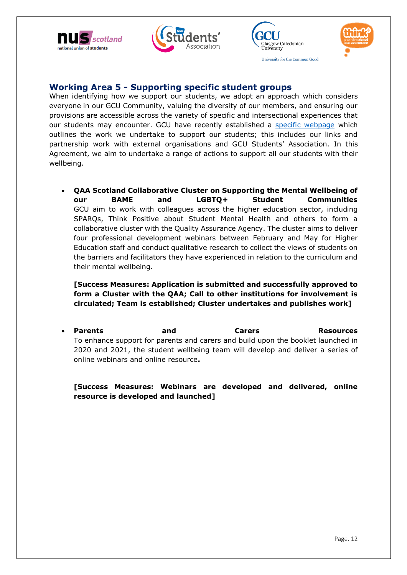







#### **Working Area 5 - Supporting specific student groups**

When identifying how we support our students, we adopt an approach which considers everyone in our GCU Community, valuing the diversity of our members, and ensuring our provisions are accessible across the variety of specific and intersectional experiences that our students may encounter. GCU have recently established a [specific webpage](https://www.gcu.ac.uk/student/support/supportingourstudents/) which outlines the work we undertake to support our students; this includes our links and partnership work with external organisations and GCU Students' Association. In this Agreement, we aim to undertake a range of actions to support all our students with their wellbeing.

 **QAA Scotland Collaborative Cluster on Supporting the Mental Wellbeing of our BAME and LGBTQ+ Student Communities**  GCU aim to work with colleagues across the higher education sector, including SPARQs, Think Positive about Student Mental Health and others to form a collaborative cluster with the Quality Assurance Agency. The cluster aims to deliver four professional development webinars between February and May for Higher Education staff and conduct qualitative research to collect the views of students on the barriers and facilitators they have experienced in relation to the curriculum and their mental wellbeing.

**[Success Measures: Application is submitted and successfully approved to form a Cluster with the QAA; Call to other institutions for involvement is circulated; Team is established; Cluster undertakes and publishes work]**

**Parents and Carers Resources** To enhance support for parents and carers and build upon the booklet launched in 2020 and 2021, the student wellbeing team will develop and deliver a series of online webinars and online resource**.** 

<span id="page-11-0"></span>**[Success Measures: Webinars are developed and delivered, online resource is developed and launched]**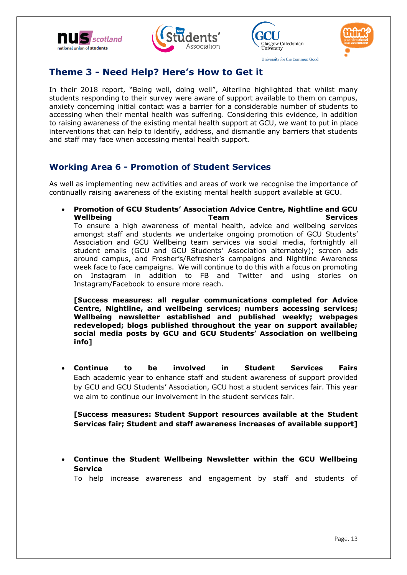







University for the Common Good

# **Theme 3 - Need Help? Here's How to Get it**

In their 2018 report, "Being well, doing well", Alterline highlighted that whilst many students responding to their survey were aware of support available to them on campus, anxiety concerning initial contact was a barrier for a considerable number of students to accessing when their mental health was suffering. Considering this evidence, in addition to raising awareness of the existing mental health support at GCU, we want to put in place interventions that can help to identify, address, and dismantle any barriers that students and staff may face when accessing mental health support.

# <span id="page-12-0"></span>**Working Area 6 - Promotion of Student Services**

As well as implementing new activities and areas of work we recognise the importance of continually raising awareness of the existing mental health support available at GCU.

 **Promotion of GCU Students' Association Advice Centre, Nightline and GCU Wellbeing Team Services** To ensure a high awareness of mental health, advice and wellbeing services amongst staff and students we undertake ongoing promotion of GCU Students' Association and GCU Wellbeing team services via social media, fortnightly all student emails (GCU and GCU Students' Association alternately); screen ads around campus, and Fresher's/Refresher's campaigns and Nightline Awareness week face to face campaigns. We will continue to do this with a focus on promoting on Instagram in addition to FB and Twitter and using stories on Instagram/Facebook to ensure more reach.

**[Success measures: all regular communications completed for Advice Centre, Nightline, and wellbeing services; numbers accessing services; Wellbeing newsletter established and published weekly; webpages redeveloped; blogs published throughout the year on support available; social media posts by GCU and GCU Students' Association on wellbeing info]**

 **Continue to be involved in Student Services Fairs** Each academic year to enhance staff and student awareness of support provided by GCU and GCU Students' Association, GCU host a student services fair. This year we aim to continue our involvement in the student services fair.

**[Success measures: Student Support resources available at the Student Services fair; Student and staff awareness increases of available support]**

 **Continue the Student Wellbeing Newsletter within the GCU Wellbeing Service**

To help increase awareness and engagement by staff and students of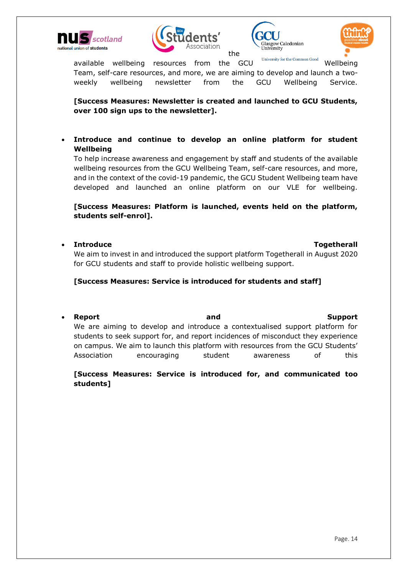







available wellbeing resources from the GCU University for the Common Good Wellbeing Team, self-care resources, and more, we are aiming to develop and launch a twoweekly wellbeing newsletter from the GCU Wellbeing Service.

**[Success Measures: Newsletter is created and launched to GCU Students, over 100 sign ups to the newsletter].** 

 **Introduce and continue to develop an online platform for student Wellbeing**

To help increase awareness and engagement by staff and students of the available wellbeing resources from the GCU Wellbeing Team, self-care resources, and more, and in the context of the covid-19 pandemic, the GCU Student Wellbeing team have developed and launched an online platform on our VLE for wellbeing.

**[Success Measures: Platform is launched, events held on the platform, students self-enrol].** 

**Introduce The Intervention of the Intervention of the Intervention of the Intervention of the Intervention of the Intervention of the Intervention of the Intervention of the Intervention of the Intervention of the Interve** 

We aim to invest in and introduced the support platform Togetherall in August 2020 for GCU students and staff to provide holistic wellbeing support.

**[Success Measures: Service is introduced for students and staff]**

 **Report and Support**  We are aiming to develop and introduce a contextualised support platform for students to seek support for, and report incidences of misconduct they experience on campus. We aim to launch this platform with resources from the GCU Students' Association encouraging student awareness of this

#### <span id="page-13-0"></span>**[Success Measures: Service is introduced for, and communicated too students]**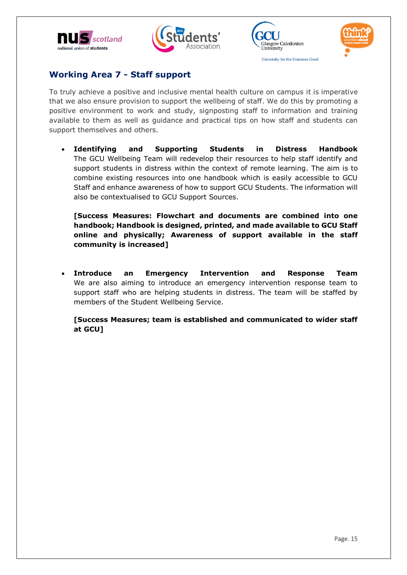







### **Working Area 7 - Staff support**

To truly achieve a positive and inclusive mental health culture on campus it is imperative that we also ensure provision to support the wellbeing of staff. We do this by promoting a positive environment to work and study, signposting staff to information and training available to them as well as guidance and practical tips on how staff and students can support themselves and others.

 **Identifying and Supporting Students in Distress Handbook** The GCU Wellbeing Team will redevelop their resources to help staff identify and support students in distress within the context of remote learning. The aim is to combine existing resources into one handbook which is easily accessible to GCU Staff and enhance awareness of how to support GCU Students. The information will also be contextualised to GCU Support Sources.

**[Success Measures: Flowchart and documents are combined into one handbook; Handbook is designed, printed, and made available to GCU Staff online and physically; Awareness of support available in the staff community is increased]**

 **Introduce an Emergency Intervention and Response Team** We are also aiming to introduce an emergency intervention response team to support staff who are helping students in distress. The team will be staffed by members of the Student Wellbeing Service.

<span id="page-14-0"></span>**[Success Measures; team is established and communicated to wider staff at GCU]**